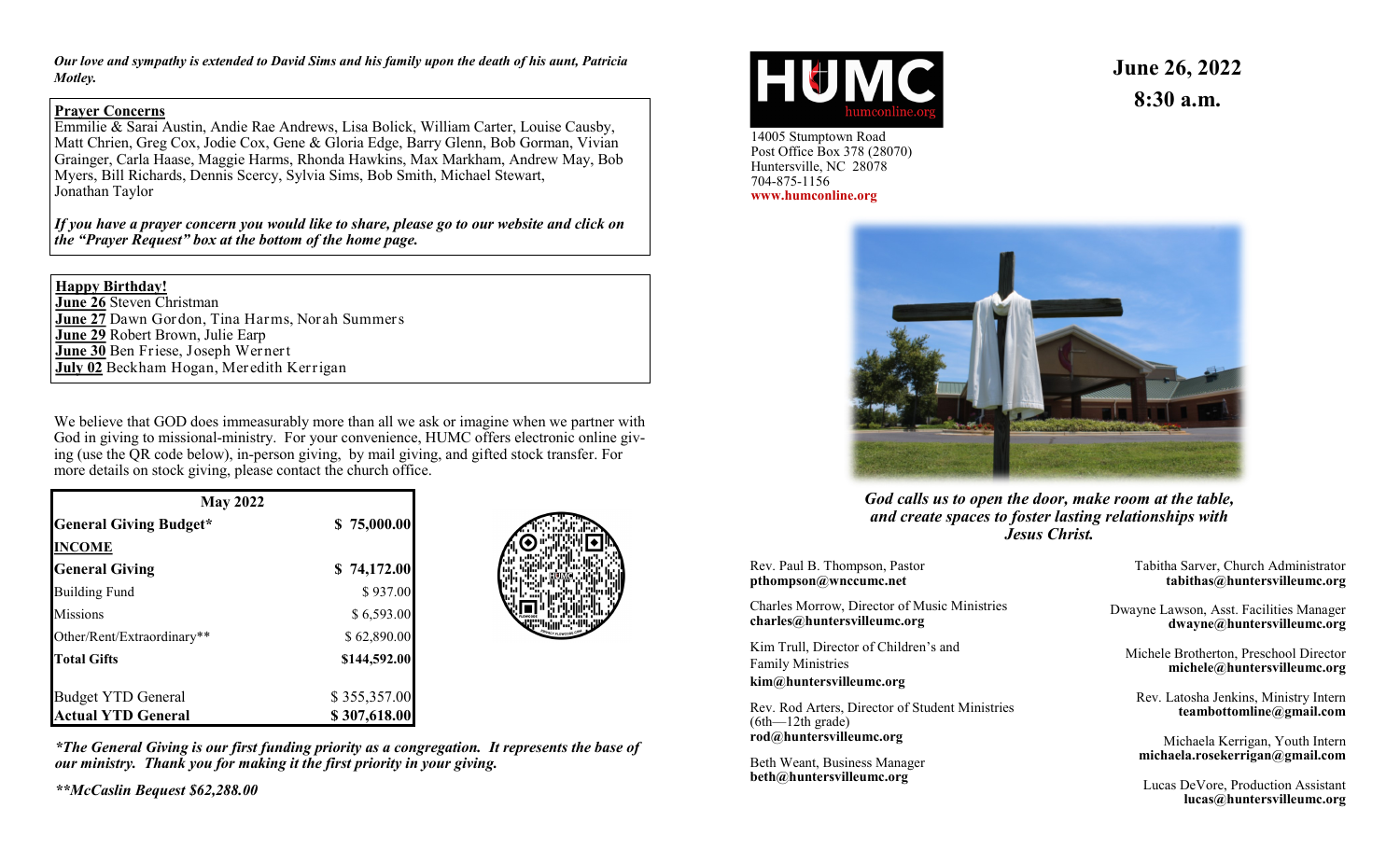*Our love and sympathy is extended to David Sims and his family upon the death of his aunt, Patricia Motley.*

### **Prayer Concerns**

Emmilie & Sarai Austin, Andie Rae Andrews, Lisa Bolick, William Carter, Louise Causby, Matt Chrien, Greg Cox, Jodie Cox, Gene & Gloria Edge, Barry Glenn, Bob Gorman, Vivian Grainger, Carla Haase, Maggie Harms, Rhonda Hawkins, Max Markham, Andrew May, Bob Myers, Bill Richards, Dennis Scercy, Sylvia Sims, Bob Smith, Michael Stewart, Jonathan Taylor

*If you have a prayer concern you would like to share, please go to our website and click on the "Prayer Request" box at the bottom of the home page.*

#### **Happy Birthday!**

**June 26** Steven Christman **June 27** Dawn Gordon, Tina Harms, Norah Summers **June 29** Robert Brown, Julie Earp **June 30** Ben Friese, Joseph Wernert **July 02** Beckham Hogan, Meredith Kerrigan

We believe that GOD does immeasurably more than all we ask or imagine when we partner with God in giving to missional-ministry. For your convenience, HUMC offers electronic online giving (use the QR code below), in-person giving, by mail giving, and gifted stock transfer. For more details on stock giving, please contact the church office.

| <b>May 2022</b>               |              |  |
|-------------------------------|--------------|--|
| <b>General Giving Budget*</b> | \$75,000.00  |  |
| <b>INCOME</b>                 |              |  |
| <b>General Giving</b>         | \$74,172.00  |  |
| <b>Building Fund</b>          | \$937.00     |  |
| <b>Missions</b>               | \$6,593.00   |  |
| Other/Rent/Extraordinary**    | \$62,890.00  |  |
| <b>Total Gifts</b>            | \$144,592.00 |  |
| <b>Budget YTD General</b>     | \$355,357.00 |  |
| <b>Actual YTD General</b>     | \$307,618.00 |  |



*\*The General Giving is our first funding priority as a congregation. It represents the base of our ministry. Thank you for making it the first priority in your giving.*

*\*\*McCaslin Bequest \$62,288.00*



14005 Stumptown Road Post Office Box 378 (28070) Huntersville, NC 28078 704-875-1156 **www.humconline.org**

**June 26, 2022 8:30 a.m.**



*God calls us to open the door, make room at the table, and create spaces to foster lasting relationships with Jesus Christ.*

Rev. Paul B. Thompson, Pastor **pthompson@wnccumc.net**

Charles Morrow, Director of Music Ministries **charles@huntersvilleumc.org**

Kim Trull, Director of Children's and Family Ministries **kim@huntersvilleumc.org**

Rev. Rod Arters, Director of Student Ministries (6th—12th grade) **rod@huntersvilleumc.org**

Beth Weant, Business Manager **beth@huntersvilleumc.org**

Tabitha Sarver, Church Administrator **tabithas@huntersvilleumc.org**

Dwayne Lawson, Asst. Facilities Manager **dwayne@huntersvilleumc.org**

Michele Brotherton, Preschool Director **michele@huntersvilleumc.org**

Rev. Latosha Jenkins, Ministry Intern **teambottomline@gmail.com**

Michaela Kerrigan, Youth Intern **michaela.rosekerrigan@gmail.com**

Lucas DeVore, Production Assistant **lucas@huntersvilleumc.org**